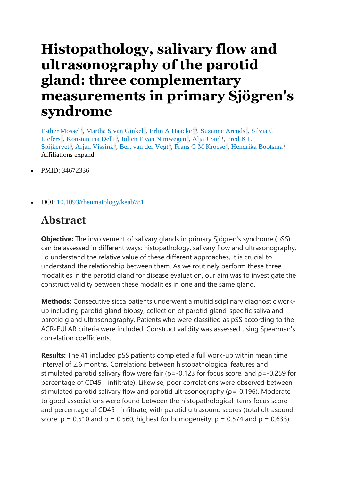## **Histopathology, salivary flow and ultrasonography of the parotid gland: three complementary measurements in primary Sjögren's syndrome**

[Esther Mossel](https://pubmed.ncbi.nlm.nih.gov/?term=Mossel+E&cauthor_id=34672336)<sup>1</sup>[,](https://pubmed.ncbi.nlm.nih.gov/34672336/#affiliation-1) [Martha S van Ginkel](https://pubmed.ncbi.nlm.nih.gov/?term=van+Ginkel+MS&cauthor_id=34672336)<sup>1</sup>, [Erlin A Haacke](https://pubmed.ncbi.nlm.nih.gov/?term=Haacke+EA&cauthor_id=34672336)<sup>[1](https://pubmed.ncbi.nlm.nih.gov/34672336/#affiliation-1)2</sup>, [Suzanne Arends](https://pubmed.ncbi.nlm.nih.gov/?term=Arends+S&cauthor_id=34672336)<sup>1</sup>, Silvia C [Liefers](https://pubmed.ncbi.nlm.nih.gov/?term=Liefers+SC&cauthor_id=34672336)<sup>1</sup>[,](https://pubmed.ncbi.nlm.nih.gov/34672336/#affiliation-1) [Konstantina Delli](https://pubmed.ncbi.nlm.nih.gov/?term=Delli+K&cauthor_id=34672336)<sup>3</sup>, [Jolien F van Nimwegen](https://pubmed.ncbi.nlm.nih.gov/?term=van+Nimwegen+JF&cauthor_id=34672336)<sup>1</sup>, [Alja J Stel](https://pubmed.ncbi.nlm.nih.gov/?term=Stel+AJ&cauthor_id=34672336)<sup>1</sup>, Fred K L [Spijkervet](https://pubmed.ncbi.nlm.nih.gov/?term=Spijkervet+FKL&cauthor_id=34672336)<sup>3</sup>[,](https://pubmed.ncbi.nlm.nih.gov/34672336/#affiliation-1) [Arjan Vissink](https://pubmed.ncbi.nlm.nih.gov/?term=Vissink+A&cauthor_id=34672336)<sup>3</sup>, [Bert van der Vegt](https://pubmed.ncbi.nlm.nih.gov/?term=van+der+Vegt+B&cauthor_id=34672336)<sup>2</sup>, [Frans G M Kroese](https://pubmed.ncbi.nlm.nih.gov/?term=Kroese+FGM&cauthor_id=34672336)<sup>1</sup>, [Hendrika Bootsma](https://pubmed.ncbi.nlm.nih.gov/?term=Bootsma+H&cauthor_id=34672336)<sup>[1](https://pubmed.ncbi.nlm.nih.gov/34672336/#affiliation-1)</sup> Affiliations expand

- PMID: 34672336
- DOI: [10.1093/rheumatology/keab781](https://doi.org/10.1093/rheumatology/keab781)

## **Abstract**

**Objective:** The involvement of salivary glands in primary Sjögren's syndrome (pSS) can be assessed in different ways: histopathology, salivary flow and ultrasonography. To understand the relative value of these different approaches, it is crucial to understand the relationship between them. As we routinely perform these three modalities in the parotid gland for disease evaluation, our aim was to investigate the construct validity between these modalities in one and the same gland.

**Methods:** Consecutive sicca patients underwent a multidisciplinary diagnostic workup including parotid gland biopsy, collection of parotid gland-specific saliva and parotid gland ultrasonography. Patients who were classified as pSS according to the ACR-EULAR criteria were included. Construct validity was assessed using Spearman's correlation coefficients.

**Results:** The 41 included pSS patients completed a full work-up within mean time interval of 2.6 months. Correlations between histopathological features and stimulated parotid salivary flow were fair ( $p = -0.123$  for focus score, and  $p = -0.259$  for percentage of CD45+ infiltrate). Likewise, poor correlations were observed between stimulated parotid salivary flow and parotid ultrasonography (ρ=-0.196). Moderate to good associations were found between the histopathological items focus score and percentage of CD45+ infiltrate, with parotid ultrasound scores (total ultrasound score:  $p = 0.510$  and  $p = 0.560$ ; highest for homogeneity:  $p = 0.574$  and  $p = 0.633$ ).